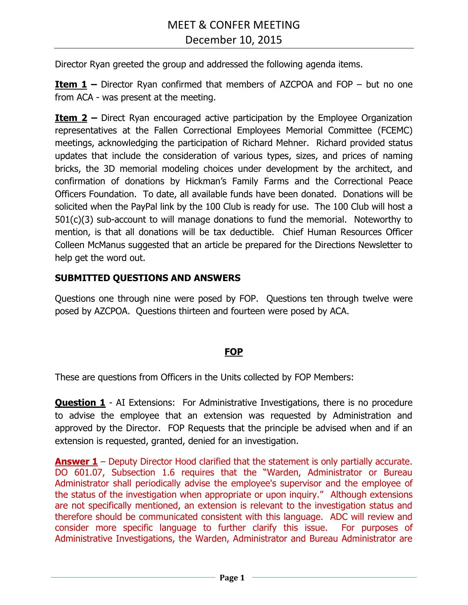Director Ryan greeted the group and addressed the following agenda items.

**Item 1 –** Director Ryan confirmed that members of AZCPOA and FOP – but no one from ACA - was present at the meeting.

**Item 2 –** Direct Ryan encouraged active participation by the Employee Organization representatives at the Fallen Correctional Employees Memorial Committee (FCEMC) meetings, acknowledging the participation of Richard Mehner. Richard provided status updates that include the consideration of various types, sizes, and prices of naming bricks, the 3D memorial modeling choices under development by the architect, and confirmation of donations by Hickman's Family Farms and the Correctional Peace Officers Foundation. To date, all available funds have been donated. Donations will be solicited when the PayPal link by the 100 Club is ready for use. The 100 Club will host a 501(c)(3) sub-account to will manage donations to fund the memorial. Noteworthy to mention, is that all donations will be tax deductible. Chief Human Resources Officer Colleen McManus suggested that an article be prepared for the Directions Newsletter to help get the word out.

## **SUBMITTED QUESTIONS AND ANSWERS**

Questions one through nine were posed by FOP. Questions ten through twelve were posed by AZCPOA. Questions thirteen and fourteen were posed by ACA.

## **FOP**

These are questions from Officers in the Units collected by FOP Members:

**Question 1** - AI Extensions: For Administrative Investigations, there is no procedure to advise the employee that an extension was requested by Administration and approved by the Director. FOP Requests that the principle be advised when and if an extension is requested, granted, denied for an investigation.

**Answer 1** – Deputy Director Hood clarified that the statement is only partially accurate. DO 601.07, Subsection 1.6 requires that the "Warden, Administrator or Bureau Administrator shall periodically advise the employee's supervisor and the employee of the status of the investigation when appropriate or upon inquiry." Although extensions are not specifically mentioned, an extension is relevant to the investigation status and therefore should be communicated consistent with this language. ADC will review and consider more specific language to further clarify this issue. For purposes of Administrative Investigations, the Warden, Administrator and Bureau Administrator are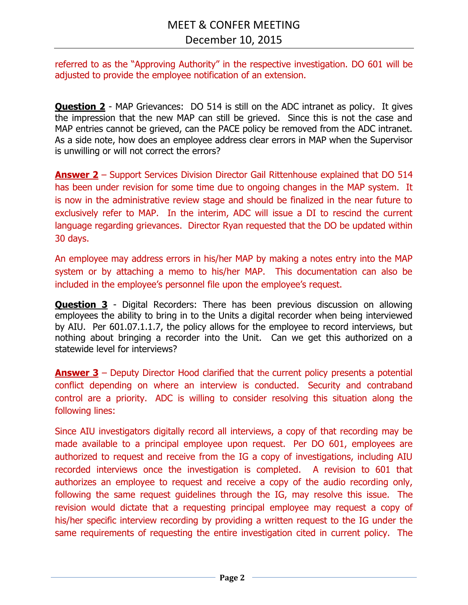referred to as the "Approving Authority" in the respective investigation. DO 601 will be adjusted to provide the employee notification of an extension.

**Question 2** - MAP Grievances: DO 514 is still on the ADC intranet as policy. It gives the impression that the new MAP can still be grieved. Since this is not the case and MAP entries cannot be grieved, can the PACE policy be removed from the ADC intranet. As a side note, how does an employee address clear errors in MAP when the Supervisor is unwilling or will not correct the errors?

**Answer 2** – Support Services Division Director Gail Rittenhouse explained that DO 514 has been under revision for some time due to ongoing changes in the MAP system. It is now in the administrative review stage and should be finalized in the near future to exclusively refer to MAP. In the interim, ADC will issue a DI to rescind the current language regarding grievances. Director Ryan requested that the DO be updated within 30 days.

An employee may address errors in his/her MAP by making a notes entry into the MAP system or by attaching a memo to his/her MAP. This documentation can also be included in the employee's personnel file upon the employee's request.

**Question 3** - Digital Recorders: There has been previous discussion on allowing employees the ability to bring in to the Units a digital recorder when being interviewed by AIU. Per 601.07.1.1.7, the policy allows for the employee to record interviews, but nothing about bringing a recorder into the Unit. Can we get this authorized on a statewide level for interviews?

**Answer 3** – Deputy Director Hood clarified that the current policy presents a potential conflict depending on where an interview is conducted. Security and contraband control are a priority. ADC is willing to consider resolving this situation along the following lines:

Since AIU investigators digitally record all interviews, a copy of that recording may be made available to a principal employee upon request. Per DO 601, employees are authorized to request and receive from the IG a copy of investigations, including AIU recorded interviews once the investigation is completed. A revision to 601 that authorizes an employee to request and receive a copy of the audio recording only, following the same request guidelines through the IG, may resolve this issue. The revision would dictate that a requesting principal employee may request a copy of his/her specific interview recording by providing a written request to the IG under the same requirements of requesting the entire investigation cited in current policy. The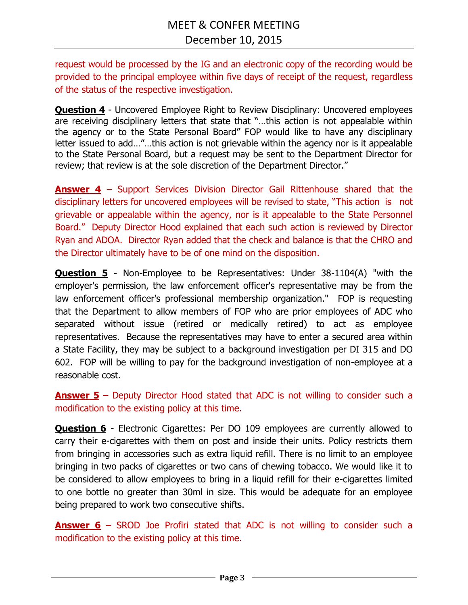request would be processed by the IG and an electronic copy of the recording would be provided to the principal employee within five days of receipt of the request, regardless of the status of the respective investigation.

**Question 4** - Uncovered Employee Right to Review Disciplinary: Uncovered employees are receiving disciplinary letters that state that "…this action is not appealable within the agency or to the State Personal Board" FOP would like to have any disciplinary letter issued to add…"…this action is not grievable within the agency nor is it appealable to the State Personal Board, but a request may be sent to the Department Director for review; that review is at the sole discretion of the Department Director."

**Answer 4** – Support Services Division Director Gail Rittenhouse shared that the disciplinary letters for uncovered employees will be revised to state, "This action is not grievable or appealable within the agency, nor is it appealable to the State Personnel Board." Deputy Director Hood explained that each such action is reviewed by Director Ryan and ADOA. Director Ryan added that the check and balance is that the CHRO and the Director ultimately have to be of one mind on the disposition.

**Question 5** - Non-Employee to be Representatives: Under 38-1104(A) "with the employer's permission, the law enforcement officer's representative may be from the law enforcement officer's professional membership organization." FOP is requesting that the Department to allow members of FOP who are prior employees of ADC who separated without issue (retired or medically retired) to act as employee representatives. Because the representatives may have to enter a secured area within a State Facility, they may be subject to a background investigation per DI 315 and DO 602. FOP will be willing to pay for the background investigation of non-employee at a reasonable cost.

**Answer 5** – Deputy Director Hood stated that ADC is not willing to consider such a modification to the existing policy at this time.

**Question 6** - Electronic Cigarettes: Per DO 109 employees are currently allowed to carry their e-cigarettes with them on post and inside their units. Policy restricts them from bringing in accessories such as extra liquid refill. There is no limit to an employee bringing in two packs of cigarettes or two cans of chewing tobacco. We would like it to be considered to allow employees to bring in a liquid refill for their e-cigarettes limited to one bottle no greater than 30ml in size. This would be adequate for an employee being prepared to work two consecutive shifts.

**Answer 6** – SROD Joe Profiri stated that ADC is not willing to consider such a modification to the existing policy at this time.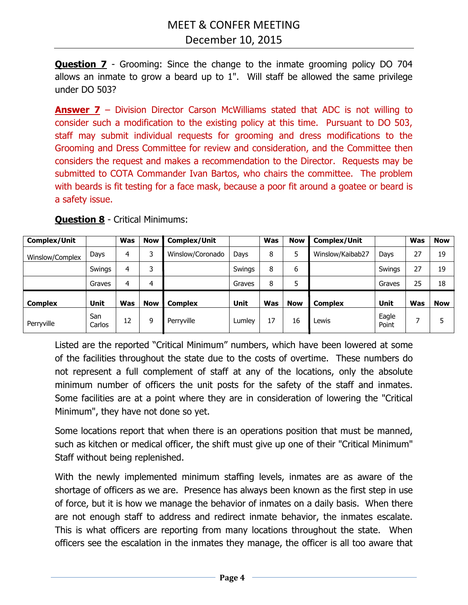**Question 7** - Grooming: Since the change to the inmate grooming policy DO 704 allows an inmate to grow a beard up to 1". Will staff be allowed the same privilege under DO 503?

**Answer 7** – Division Director Carson McWilliams stated that ADC is not willing to consider such a modification to the existing policy at this time. Pursuant to DO 503, staff may submit individual requests for grooming and dress modifications to the Grooming and Dress Committee for review and consideration, and the Committee then considers the request and makes a recommendation to the Director. Requests may be submitted to COTA Commander Ivan Bartos, who chairs the committee. The problem with beards is fit testing for a face mask, because a poor fit around a goatee or beard is a safety issue.

| <b>Complex/Unit</b> |               | Was            | <b>Now</b> | <b>Complex/Unit</b> |             | <b>Was</b> | <b>Now</b> | <b>Complex/Unit</b> |                | Was | <b>Now</b> |
|---------------------|---------------|----------------|------------|---------------------|-------------|------------|------------|---------------------|----------------|-----|------------|
| Winslow/Complex     | Days          | 4              | 3          | Winslow/Coronado    | Days        | 8          | 5          | Winslow/Kaibab27    | Days           | 27  | 19         |
|                     | Swings        | 4              | 3          |                     | Swings      | 8          | 6          |                     | Swings         | 27  | 19         |
|                     | Graves        | $\overline{4}$ | 4          |                     | Graves      | 8          | 5          |                     | Graves         | 25  | 18         |
| <b>Complex</b>      | Unit          | Was            | <b>Now</b> | <b>Complex</b>      | <b>Unit</b> | <b>Was</b> | <b>Now</b> | <b>Complex</b>      | Unit           | Was | <b>Now</b> |
| Perryville          | San<br>Carlos | 12             | 9          | Perryville          | Lumley      | 17         | 16         | Lewis               | Eagle<br>Point |     |            |

**Question 8** - Critical Minimums:

Listed are the reported "Critical Minimum" numbers, which have been lowered at some of the facilities throughout the state due to the costs of overtime. These numbers do not represent a full complement of staff at any of the locations, only the absolute minimum number of officers the unit posts for the safety of the staff and inmates. Some facilities are at a point where they are in consideration of lowering the "Critical Minimum", they have not done so yet.

Some locations report that when there is an operations position that must be manned, such as kitchen or medical officer, the shift must give up one of their "Critical Minimum" Staff without being replenished.

With the newly implemented minimum staffing levels, inmates are as aware of the shortage of officers as we are. Presence has always been known as the first step in use of force, but it is how we manage the behavior of inmates on a daily basis. When there are not enough staff to address and redirect inmate behavior, the inmates escalate. This is what officers are reporting from many locations throughout the state. When officers see the escalation in the inmates they manage, the officer is all too aware that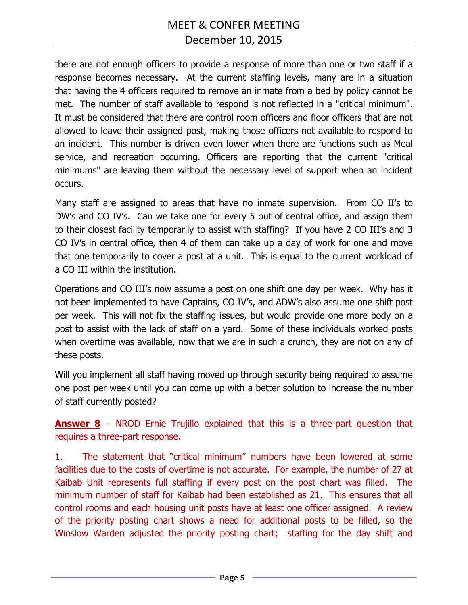# MEET & CONFER MEETING December 10, 2015

there are not enough officers to provide a response of more than one or two staff if a response becomes necessary. At the current staffing levels, many are in a situation that having the 4 officers required to remove an inmate from a bed by policy cannot be met. The number of staff available to respond is not reflected in a "critical minimum". It must be considered that there are control room officers and floor officers that are not allowed to leave their assigned post, making those officers not available to respond to an incident. This number is driven even lower when there are functions such as Meal service, and recreation occurring. Officers are reporting that the current "critical minimums" are leaving them without the necessary level of support when an incident occurs.

Many staff are assigned to areas that have no inmate supervision. From CO II's to DW's and CO IV's. Can we take one for every 5 out of central office, and assign them to their closest facility temporarily to assist with staffing? If you have 2 CO III's and 3 CO IV's in central office, then 4 of them can take up a day of work for one and move that one temporarily to cover a post at a unit. This is equal to the current workload of a CO III within the institution.

Operations and CO III's now assume a post on one shift one day per week. Why has it not been implemented to have Captains, CO IV's, and ADW's also assume one shift post per week. This will not fix the staffing issues, but would provide one more body on a post to assist with the lack of staff on a yard. Some of these individuals worked posts when overtime was available, now that we are in such a crunch, they are not on any of these posts.

Will you implement all staff having moved up through security being required to assume one post per week until you can come up with a better solution to increase the number of staff currently posted?

**Answer 8** – NROD Ernie Trujillo explained that this is a three-part question that requires a three-part response.

1. The statement that "critical minimum" numbers have been lowered at some facilities due to the costs of overtime is not accurate. For example, the number of 27 at Kaibab Unit represents full staffing if every post on the post chart was filled. The minimum number of staff for Kaibab had been established as 21. This ensures that all control rooms and each housing unit posts have at least one officer assigned. A review of the priority posting chart shows a need for additional posts to be filled, so the Winslow Warden adjusted the priority posting chart; staffing for the day shift and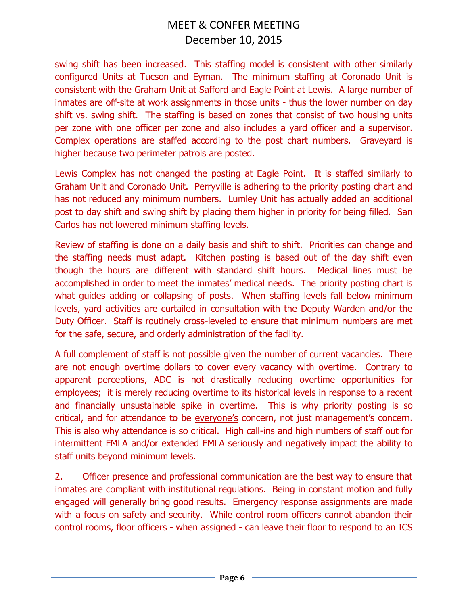swing shift has been increased. This staffing model is consistent with other similarly configured Units at Tucson and Eyman. The minimum staffing at Coronado Unit is consistent with the Graham Unit at Safford and Eagle Point at Lewis. A large number of inmates are off-site at work assignments in those units - thus the lower number on day shift vs. swing shift. The staffing is based on zones that consist of two housing units per zone with one officer per zone and also includes a yard officer and a supervisor. Complex operations are staffed according to the post chart numbers. Graveyard is higher because two perimeter patrols are posted.

Lewis Complex has not changed the posting at Eagle Point. It is staffed similarly to Graham Unit and Coronado Unit. Perryville is adhering to the priority posting chart and has not reduced any minimum numbers. Lumley Unit has actually added an additional post to day shift and swing shift by placing them higher in priority for being filled. San Carlos has not lowered minimum staffing levels.

Review of staffing is done on a daily basis and shift to shift. Priorities can change and the staffing needs must adapt. Kitchen posting is based out of the day shift even though the hours are different with standard shift hours. Medical lines must be accomplished in order to meet the inmates' medical needs. The priority posting chart is what guides adding or collapsing of posts. When staffing levels fall below minimum levels, yard activities are curtailed in consultation with the Deputy Warden and/or the Duty Officer. Staff is routinely cross-leveled to ensure that minimum numbers are met for the safe, secure, and orderly administration of the facility.

A full complement of staff is not possible given the number of current vacancies. There are not enough overtime dollars to cover every vacancy with overtime. Contrary to apparent perceptions, ADC is not drastically reducing overtime opportunities for employees; it is merely reducing overtime to its historical levels in response to a recent and financially unsustainable spike in overtime. This is why priority posting is so critical, and for attendance to be everyone's concern, not just management's concern. This is also why attendance is so critical. High call-ins and high numbers of staff out for intermittent FMLA and/or extended FMLA seriously and negatively impact the ability to staff units beyond minimum levels.

2. Officer presence and professional communication are the best way to ensure that inmates are compliant with institutional regulations. Being in constant motion and fully engaged will generally bring good results. Emergency response assignments are made with a focus on safety and security. While control room officers cannot abandon their control rooms, floor officers - when assigned - can leave their floor to respond to an ICS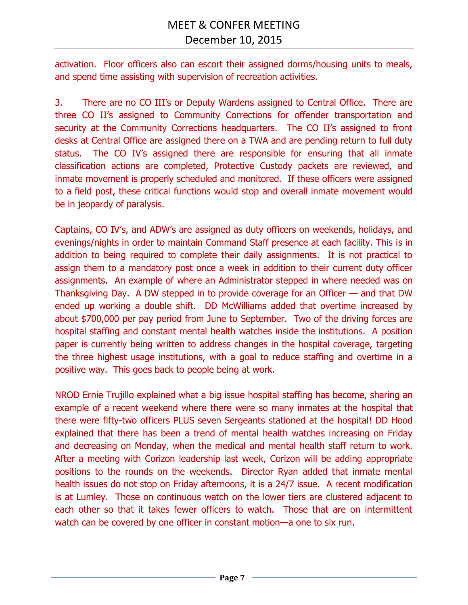activation. Floor officers also can escort their assigned dorms/housing units to meals, and spend time assisting with supervision of recreation activities.

3. There are no CO III's or Deputy Wardens assigned to Central Office. There are three CO II's assigned to Community Corrections for offender transportation and security at the Community Corrections headquarters. The CO II's assigned to front desks at Central Office are assigned there on a TWA and are pending return to full duty status.The CO IV's assigned there are responsible for ensuring that all inmate classification actions are completed, Protective Custody packets are reviewed, and inmate movement is properly scheduled and monitored. If these officers were assigned to a field post, these critical functions would stop and overall inmate movement would be in jeopardy of paralysis.

Captains, CO IV's, and ADW's are assigned as duty officers on weekends, holidays, and evenings/nights in order to maintain Command Staff presence at each facility. This is in addition to being required to complete their daily assignments. It is not practical to assign them to a mandatory post once a week in addition to their current duty officer assignments. An example of where an Administrator stepped in where needed was on Thanksgiving Day. A DW stepped in to provide coverage for an Officer — and that DW ended up working a double shift. DD McWilliams added that overtime increased by about \$700,000 per pay period from June to September. Two of the driving forces are hospital staffing and constant mental health watches inside the institutions. A position paper is currently being written to address changes in the hospital coverage, targeting the three highest usage institutions, with a goal to reduce staffing and overtime in a positive way. This goes back to people being at work.

NROD Ernie Trujillo explained what a big issue hospital staffing has become, sharing an example of a recent weekend where there were so many inmates at the hospital that there were fifty-two officers PLUS seven Sergeants stationed at the hospital! DD Hood explained that there has been a trend of mental health watches increasing on Friday and decreasing on Monday, when the medical and mental health staff return to work. After a meeting with Corizon leadership last week, Corizon will be adding appropriate positions to the rounds on the weekends. Director Ryan added that inmate mental health issues do not stop on Friday afternoons, it is a 24/7 issue. A recent modification is at Lumley. Those on continuous watch on the lower tiers are clustered adjacent to each other so that it takes fewer officers to watch. Those that are on intermittent watch can be covered by one officer in constant motion—a one to six run.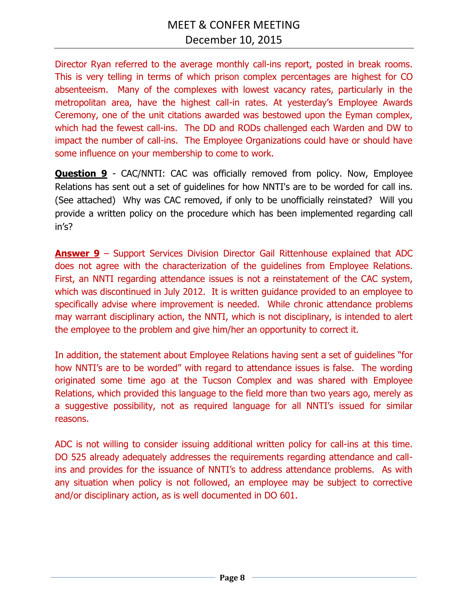Director Ryan referred to the average monthly call-ins report, posted in break rooms. This is very telling in terms of which prison complex percentages are highest for CO absenteeism. Many of the complexes with lowest vacancy rates, particularly in the metropolitan area, have the highest call-in rates. At yesterday's Employee Awards Ceremony, one of the unit citations awarded was bestowed upon the Eyman complex, which had the fewest call-ins. The DD and RODs challenged each Warden and DW to impact the number of call-ins. The Employee Organizations could have or should have some influence on your membership to come to work.

**Question 9** - CAC/NNTI: CAC was officially removed from policy. Now, Employee Relations has sent out a set of guidelines for how NNTI's are to be worded for call ins. (See attached) Why was CAC removed, if only to be unofficially reinstated? Will you provide a written policy on the procedure which has been implemented regarding call in's?

**Answer 9** – Support Services Division Director Gail Rittenhouse explained that ADC does not agree with the characterization of the guidelines from Employee Relations. First, an NNTI regarding attendance issues is not a reinstatement of the CAC system, which was discontinued in July 2012. It is written guidance provided to an employee to specifically advise where improvement is needed. While chronic attendance problems may warrant disciplinary action, the NNTI, which is not disciplinary, is intended to alert the employee to the problem and give him/her an opportunity to correct it.

In addition, the statement about Employee Relations having sent a set of guidelines "for how NNTI's are to be worded" with regard to attendance issues is false. The wording originated some time ago at the Tucson Complex and was shared with Employee Relations, which provided this language to the field more than two years ago, merely as a suggestive possibility, not as required language for all NNTI's issued for similar reasons.

ADC is not willing to consider issuing additional written policy for call-ins at this time. DO 525 already adequately addresses the requirements regarding attendance and callins and provides for the issuance of NNTI's to address attendance problems. As with any situation when policy is not followed, an employee may be subject to corrective and/or disciplinary action, as is well documented in DO 601.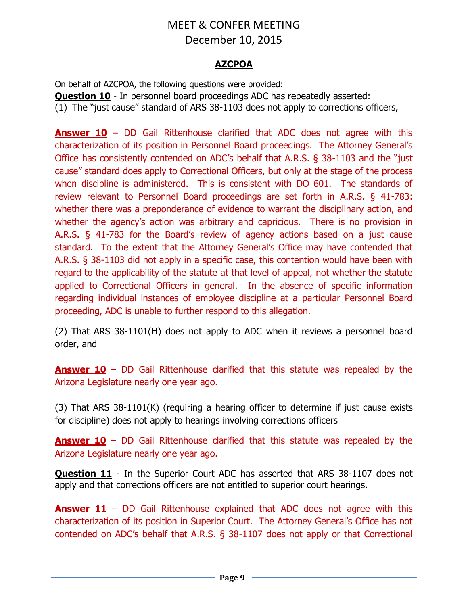## **AZCPOA**

On behalf of AZCPOA, the following questions were provided:

**Question 10** - In personnel board proceedings ADC has repeatedly asserted:

(1) The "just cause" standard of ARS 38-1103 does not apply to corrections officers,

**Answer 10** – DD Gail Rittenhouse clarified that ADC does not agree with this characterization of its position in Personnel Board proceedings. The Attorney General's Office has consistently contended on ADC's behalf that A.R.S. § 38-1103 and the "just cause" standard does apply to Correctional Officers, but only at the stage of the process when discipline is administered. This is consistent with DO 601. The standards of review relevant to Personnel Board proceedings are set forth in A.R.S. § 41-783: whether there was a preponderance of evidence to warrant the disciplinary action, and whether the agency's action was arbitrary and capricious. There is no provision in A.R.S. § 41-783 for the Board's review of agency actions based on a just cause standard. To the extent that the Attorney General's Office may have contended that A.R.S. § 38-1103 did not apply in a specific case, this contention would have been with regard to the applicability of the statute at that level of appeal, not whether the statute applied to Correctional Officers in general. In the absence of specific information regarding individual instances of employee discipline at a particular Personnel Board proceeding, ADC is unable to further respond to this allegation.

(2) That ARS 38-1101(H) does not apply to ADC when it reviews a personnel board order, and

**Answer 10** – DD Gail Rittenhouse clarified that this statute was repealed by the Arizona Legislature nearly one year ago.

(3) That ARS 38-1101(K) (requiring a hearing officer to determine if just cause exists for discipline) does not apply to hearings involving corrections officers

**Answer 10** – DD Gail Rittenhouse clarified that this statute was repealed by the Arizona Legislature nearly one year ago.

**Question 11** - In the Superior Court ADC has asserted that ARS 38-1107 does not apply and that corrections officers are not entitled to superior court hearings.

**Answer 11** – DD Gail Rittenhouse explained that ADC does not agree with this characterization of its position in Superior Court. The Attorney General's Office has not contended on ADC's behalf that A.R.S. § 38-1107 does not apply or that Correctional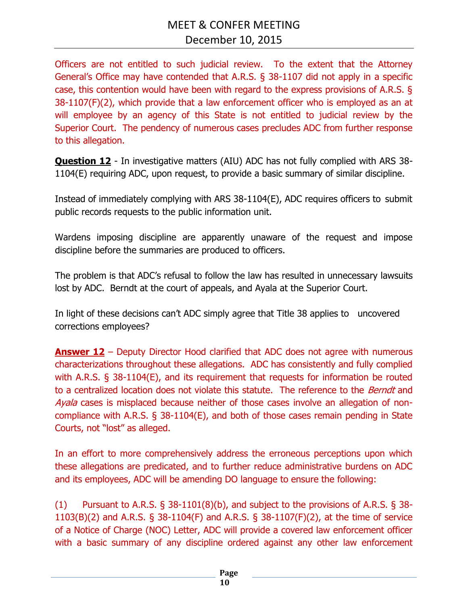Officers are not entitled to such judicial review. To the extent that the Attorney General's Office may have contended that A.R.S. § 38-1107 did not apply in a specific case, this contention would have been with regard to the express provisions of A.R.S. § 38-1107(F)(2), which provide that a law enforcement officer who is employed as an at will employee by an agency of this State is not entitled to judicial review by the Superior Court. The pendency of numerous cases precludes ADC from further response to this allegation.

**Question 12** - In investigative matters (AIU) ADC has not fully complied with ARS 38-1104(E) requiring ADC, upon request, to provide a basic summary of similar discipline.

Instead of immediately complying with ARS 38-1104(E), ADC requires officers to submit public records requests to the public information unit.

Wardens imposing discipline are apparently unaware of the request and impose discipline before the summaries are produced to officers.

The problem is that ADC's refusal to follow the law has resulted in unnecessary lawsuits lost by ADC. Berndt at the court of appeals, and Ayala at the Superior Court.

In light of these decisions can't ADC simply agree that Title 38 applies to uncovered corrections employees?

**Answer 12** – Deputy Director Hood clarified that ADC does not agree with numerous characterizations throughout these allegations. ADC has consistently and fully complied with A.R.S. § 38-1104(E), and its requirement that requests for information be routed to a centralized location does not violate this statute. The reference to the *Berndt* and Ayala cases is misplaced because neither of those cases involve an allegation of noncompliance with A.R.S. § 38-1104(E), and both of those cases remain pending in State Courts, not "lost" as alleged.

In an effort to more comprehensively address the erroneous perceptions upon which these allegations are predicated, and to further reduce administrative burdens on ADC and its employees, ADC will be amending DO language to ensure the following:

(1) Pursuant to A.R.S. § 38-1101(8)(b), and subject to the provisions of A.R.S. § 38- 1103(B)(2) and A.R.S. § 38-1104(F) and A.R.S. § 38-1107(F)(2), at the time of service of a Notice of Charge (NOC) Letter, ADC will provide a covered law enforcement officer with a basic summary of any discipline ordered against any other law enforcement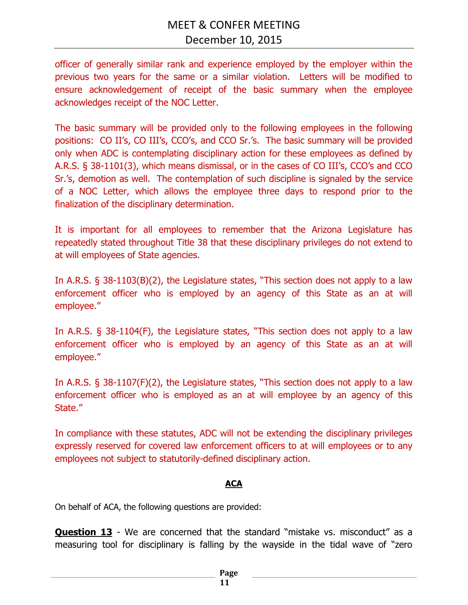officer of generally similar rank and experience employed by the employer within the previous two years for the same or a similar violation. Letters will be modified to ensure acknowledgement of receipt of the basic summary when the employee acknowledges receipt of the NOC Letter.

The basic summary will be provided only to the following employees in the following positions: CO II's, CO III's, CCO's, and CCO Sr.'s. The basic summary will be provided only when ADC is contemplating disciplinary action for these employees as defined by A.R.S. § 38-1101(3), which means dismissal, or in the cases of CO III's, CCO's and CCO Sr.'s, demotion as well. The contemplation of such discipline is signaled by the service of a NOC Letter, which allows the employee three days to respond prior to the finalization of the disciplinary determination.

It is important for all employees to remember that the Arizona Legislature has repeatedly stated throughout Title 38 that these disciplinary privileges do not extend to at will employees of State agencies.

In A.R.S. § 38-1103(B)(2), the Legislature states, "This section does not apply to a law enforcement officer who is employed by an agency of this State as an at will employee."

In A.R.S. § 38-1104(F), the Legislature states, "This section does not apply to a law enforcement officer who is employed by an agency of this State as an at will employee."

In A.R.S. § 38-1107(F)(2), the Legislature states, "This section does not apply to a law enforcement officer who is employed as an at will employee by an agency of this State."

In compliance with these statutes, ADC will not be extending the disciplinary privileges expressly reserved for covered law enforcement officers to at will employees or to any employees not subject to statutorily-defined disciplinary action.

## **ACA**

On behalf of ACA, the following questions are provided:

**Question 13** - We are concerned that the standard "mistake vs. misconduct" as a measuring tool for disciplinary is falling by the wayside in the tidal wave of "zero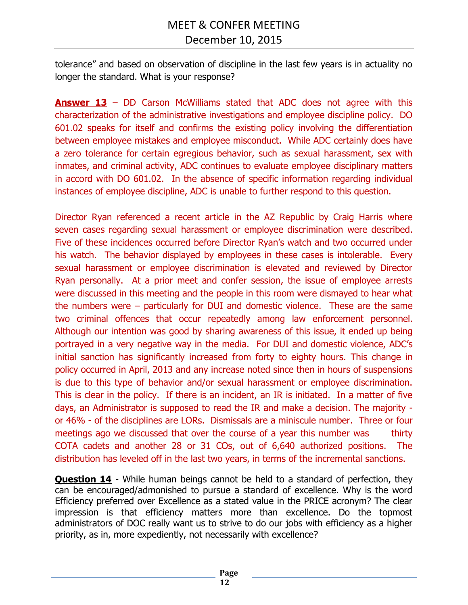tolerance" and based on observation of discipline in the last few years is in actuality no longer the standard. What is your response?

**Answer 13** – DD Carson McWilliams stated that ADC does not agree with this characterization of the administrative investigations and employee discipline policy. DO 601.02 speaks for itself and confirms the existing policy involving the differentiation between employee mistakes and employee misconduct. While ADC certainly does have a zero tolerance for certain egregious behavior, such as sexual harassment, sex with inmates, and criminal activity, ADC continues to evaluate employee disciplinary matters in accord with DO 601.02. In the absence of specific information regarding individual instances of employee discipline, ADC is unable to further respond to this question.

Director Ryan referenced a recent article in the AZ Republic by Craig Harris where seven cases regarding sexual harassment or employee discrimination were described. Five of these incidences occurred before Director Ryan's watch and two occurred under his watch. The behavior displayed by employees in these cases is intolerable. Every sexual harassment or employee discrimination is elevated and reviewed by Director Ryan personally. At a prior meet and confer session, the issue of employee arrests were discussed in this meeting and the people in this room were dismayed to hear what the numbers were – particularly for DUI and domestic violence. These are the same two criminal offences that occur repeatedly among law enforcement personnel. Although our intention was good by sharing awareness of this issue, it ended up being portrayed in a very negative way in the media. For DUI and domestic violence, ADC's initial sanction has significantly increased from forty to eighty hours. This change in policy occurred in April, 2013 and any increase noted since then in hours of suspensions is due to this type of behavior and/or sexual harassment or employee discrimination. This is clear in the policy. If there is an incident, an IR is initiated. In a matter of five days, an Administrator is supposed to read the IR and make a decision. The majority or 46% - of the disciplines are LORs. Dismissals are a miniscule number. Three or four meetings ago we discussed that over the course of a year this number was thirty COTA cadets and another 28 or 31 COs, out of 6,640 authorized positions. The distribution has leveled off in the last two years, in terms of the incremental sanctions.

**Question 14** - While human beings cannot be held to a standard of perfection, they can be encouraged/admonished to pursue a standard of excellence. Why is the word Efficiency preferred over Excellence as a stated value in the PRICE acronym? The clear impression is that efficiency matters more than excellence. Do the topmost administrators of DOC really want us to strive to do our jobs with efficiency as a higher priority, as in, more expediently, not necessarily with excellence?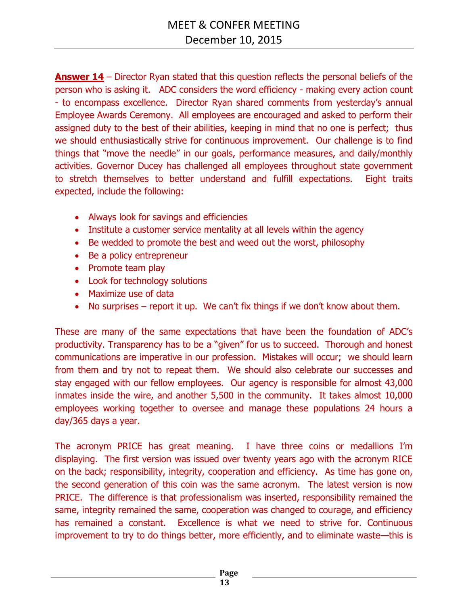**Answer 14** – Director Ryan stated that this question reflects the personal beliefs of the person who is asking it. ADC considers the word efficiency - making every action count - to encompass excellence. Director Ryan shared comments from yesterday's annual Employee Awards Ceremony. All employees are encouraged and asked to perform their assigned duty to the best of their abilities, keeping in mind that no one is perfect; thus we should enthusiastically strive for continuous improvement. Our challenge is to find things that "move the needle" in our goals, performance measures, and daily/monthly activities. Governor Ducey has challenged all employees throughout state government to stretch themselves to better understand and fulfill expectations. Eight traits expected, include the following:

- Always look for savings and efficiencies
- Institute a customer service mentality at all levels within the agency
- Be wedded to promote the best and weed out the worst, philosophy
- Be a policy entrepreneur
- Promote team play
- Look for technology solutions
- Maximize use of data
- No surprises  $-$  report it up. We can't fix things if we don't know about them.

These are many of the same expectations that have been the foundation of ADC's productivity. Transparency has to be a "given" for us to succeed. Thorough and honest communications are imperative in our profession. Mistakes will occur; we should learn from them and try not to repeat them. We should also celebrate our successes and stay engaged with our fellow employees. Our agency is responsible for almost 43,000 inmates inside the wire, and another 5,500 in the community. It takes almost 10,000 employees working together to oversee and manage these populations 24 hours a day/365 days a year.

The acronym PRICE has great meaning. I have three coins or medallions I'm displaying. The first version was issued over twenty years ago with the acronym RICE on the back; responsibility, integrity, cooperation and efficiency. As time has gone on, the second generation of this coin was the same acronym. The latest version is now PRICE. The difference is that professionalism was inserted, responsibility remained the same, integrity remained the same, cooperation was changed to courage, and efficiency has remained a constant. Excellence is what we need to strive for. Continuous improvement to try to do things better, more efficiently, and to eliminate waste—this is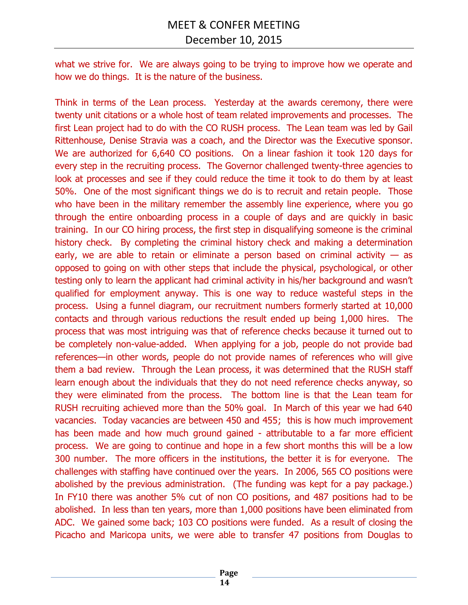what we strive for. We are always going to be trying to improve how we operate and how we do things. It is the nature of the business.

Think in terms of the Lean process. Yesterday at the awards ceremony, there were twenty unit citations or a whole host of team related improvements and processes. The first Lean project had to do with the CO RUSH process. The Lean team was led by Gail Rittenhouse, Denise Stravia was a coach, and the Director was the Executive sponsor. We are authorized for 6,640 CO positions. On a linear fashion it took 120 days for every step in the recruiting process. The Governor challenged twenty-three agencies to look at processes and see if they could reduce the time it took to do them by at least 50%. One of the most significant things we do is to recruit and retain people. Those who have been in the military remember the assembly line experience, where you go through the entire onboarding process in a couple of days and are quickly in basic training. In our CO hiring process, the first step in disqualifying someone is the criminal history check. By completing the criminal history check and making a determination early, we are able to retain or eliminate a person based on criminal activity  $-$  as opposed to going on with other steps that include the physical, psychological, or other testing only to learn the applicant had criminal activity in his/her background and wasn't qualified for employment anyway. This is one way to reduce wasteful steps in the process. Using a funnel diagram, our recruitment numbers formerly started at 10,000 contacts and through various reductions the result ended up being 1,000 hires. The process that was most intriguing was that of reference checks because it turned out to be completely non-value-added. When applying for a job, people do not provide bad references—in other words, people do not provide names of references who will give them a bad review. Through the Lean process, it was determined that the RUSH staff learn enough about the individuals that they do not need reference checks anyway, so they were eliminated from the process. The bottom line is that the Lean team for RUSH recruiting achieved more than the 50% goal. In March of this year we had 640 vacancies. Today vacancies are between 450 and 455; this is how much improvement has been made and how much ground gained - attributable to a far more efficient process. We are going to continue and hope in a few short months this will be a low 300 number. The more officers in the institutions, the better it is for everyone. The challenges with staffing have continued over the years. In 2006, 565 CO positions were abolished by the previous administration. (The funding was kept for a pay package.) In FY10 there was another 5% cut of non CO positions, and 487 positions had to be abolished. In less than ten years, more than 1,000 positions have been eliminated from ADC. We gained some back; 103 CO positions were funded. As a result of closing the Picacho and Maricopa units, we were able to transfer 47 positions from Douglas to